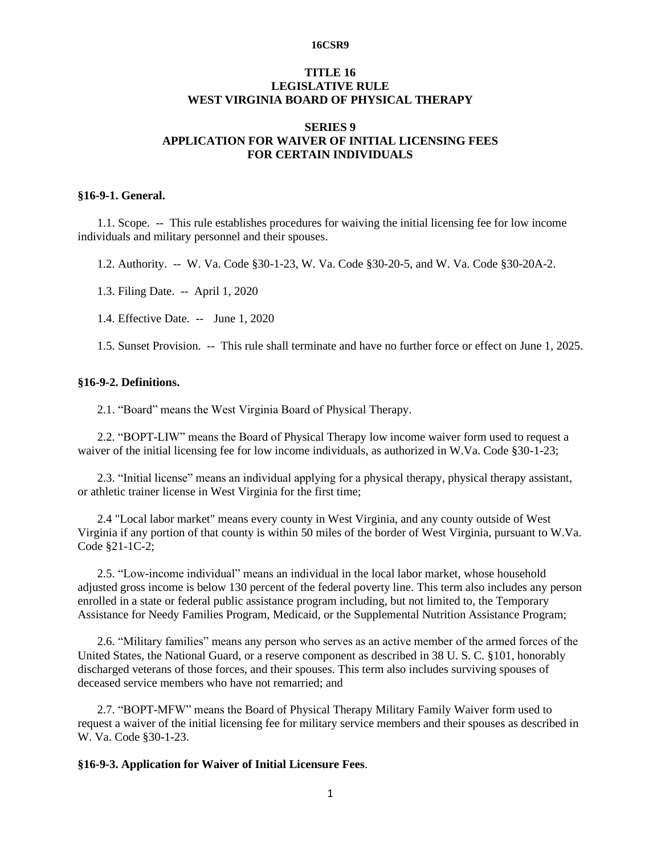#### **16CSR9**

# **TITLE 16 LEGISLATIVE RULE WEST VIRGINIA BOARD OF PHYSICAL THERAPY**

# **SERIES 9 APPLICATION FOR WAIVER OF INITIAL LICENSING FEES FOR CERTAIN INDIVIDUALS**

### **§16-9-1. General.**

1.1. Scope. -- This rule establishes procedures for waiving the initial licensing fee for low income individuals and military personnel and their spouses.

1.2. Authority. -- W. Va. Code §30-1-23, W. Va. Code §30-20-5, and W. Va. Code §30-20A-2.

1.3. Filing Date. -- April 1, 2020

1.4. Effective Date. -- June 1, 2020

1.5. Sunset Provision. -- This rule shall terminate and have no further force or effect on June 1, 2025.

#### **§16-9-2. Definitions.**

2.1. "Board" means the West Virginia Board of Physical Therapy.

2.2. "BOPT-LIW" means the Board of Physical Therapy low income waiver form used to request a waiver of the initial licensing fee for low income individuals, as authorized in W.Va. Code §30-1-23;

2.3. "Initial license" means an individual applying for a physical therapy, physical therapy assistant, or athletic trainer license in West Virginia for the first time;

2.4 "Local labor market" means every county in West Virginia, and any county outside of West Virginia if any portion of that county is within 50 miles of the border of West Virginia, pursuant to W.Va. Code §21-1C-2;

2.5. "Low-income individual" means an individual in the local labor market, whose household adjusted gross income is below 130 percent of the federal poverty line. This term also includes any person enrolled in a state or federal public assistance program including, but not limited to, the Temporary Assistance for Needy Families Program, Medicaid, or the Supplemental Nutrition Assistance Program;

2.6. "Military families" means any person who serves as an active member of the armed forces of the United States, the National Guard, or a reserve component as described in 38 U. S. C. §101, honorably discharged veterans of those forces, and their spouses. This term also includes surviving spouses of deceased service members who have not remarried; and

2.7. "BOPT-MFW" means the Board of Physical Therapy Military Family Waiver form used to request a waiver of the initial licensing fee for military service members and their spouses as described in W. Va. Code §30-1-23.

### **§16-9-3. Application for Waiver of Initial Licensure Fees**.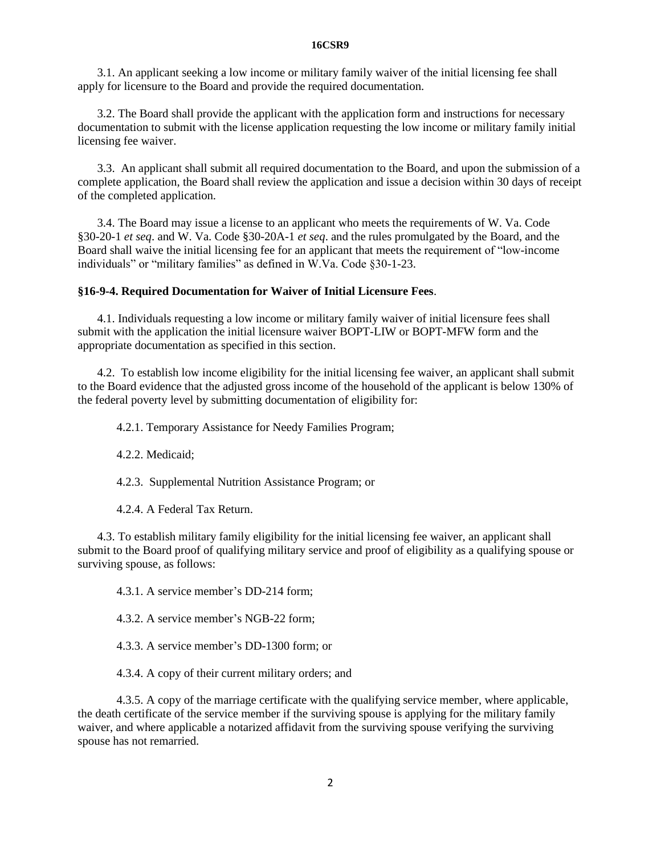#### **16CSR9**

3.1. An applicant seeking a low income or military family waiver of the initial licensing fee shall apply for licensure to the Board and provide the required documentation.

3.2. The Board shall provide the applicant with the application form and instructions for necessary documentation to submit with the license application requesting the low income or military family initial licensing fee waiver.

3.3. An applicant shall submit all required documentation to the Board, and upon the submission of a complete application, the Board shall review the application and issue a decision within 30 days of receipt of the completed application.

3.4. The Board may issue a license to an applicant who meets the requirements of W. Va. Code §30-20-1 *et seq*. and W. Va. Code §30-20A-1 *et seq*. and the rules promulgated by the Board, and the Board shall waive the initial licensing fee for an applicant that meets the requirement of "low-income individuals" or "military families" as defined in W.Va. Code §30-1-23.

#### **§16-9-4. Required Documentation for Waiver of Initial Licensure Fees**.

4.1. Individuals requesting a low income or military family waiver of initial licensure fees shall submit with the application the initial licensure waiver BOPT-LIW or BOPT-MFW form and the appropriate documentation as specified in this section.

4.2. To establish low income eligibility for the initial licensing fee waiver, an applicant shall submit to the Board evidence that the adjusted gross income of the household of the applicant is below 130% of the federal poverty level by submitting documentation of eligibility for:

4.2.1. Temporary Assistance for Needy Families Program;

4.2.2. Medicaid;

4.2.3. Supplemental Nutrition Assistance Program; or

4.2.4. A Federal Tax Return.

4.3. To establish military family eligibility for the initial licensing fee waiver, an applicant shall submit to the Board proof of qualifying military service and proof of eligibility as a qualifying spouse or surviving spouse, as follows:

4.3.1. A service member's DD-214 form;

4.3.2. A service member's NGB-22 form;

4.3.3. A service member's DD-1300 form; or

4.3.4. A copy of their current military orders; and

4.3.5. A copy of the marriage certificate with the qualifying service member, where applicable, the death certificate of the service member if the surviving spouse is applying for the military family waiver, and where applicable a notarized affidavit from the surviving spouse verifying the surviving spouse has not remarried.